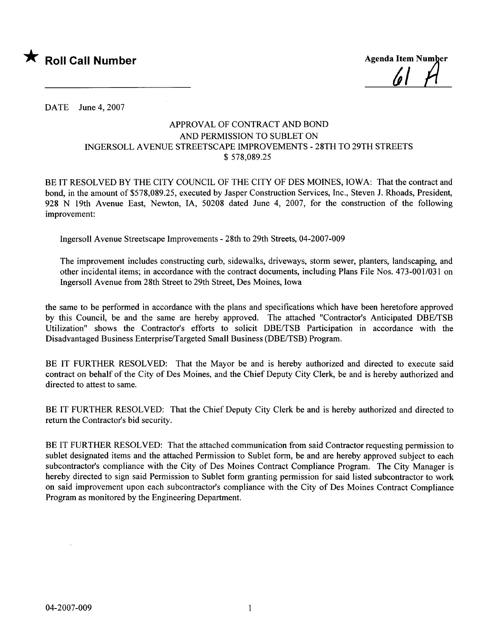

/o |

DATE June 4, 2007

## APPROVAL OF CONTRACT AND BOND AND PERMISSION TO SUBLET ON INGERSOLL A VENUE STREETSCAPE IMPROVEMENTS - 28TH TO 29TH STREETS \$ 578,089.25

BE IT RESOLVED BY THE CITY COUNCIL OF THE CITY OF DES MOINES, IOWA: That the contract and bond, in the amount of \$578,089.25, executed by Jasper Construction Services, Inc., Steven J. Rhoads, President, 928 N 19th Avenue East, Newton, lA, 50208 dated June 4, 2007, for the construction of the following improvement:

Ingersoll Avenue Streetscape Improvements - 28th to 29th Streets, 04-2007-009

The improvement includes constructing curb, sidewalks, driveways, storm sewer, planters, landscaping, and other incidental items; in accordance with the contract documents, including Plans File Nos. 473-001/031 on Ingersoll Avenue from 28th Street to 29th Street, Des Moines, Iowa

the same to be performed in accordance with the plans and specifications which have been heretofore approved by this Council, be and the same are hereby approved. The attached "Contractor's Anticipated DBE/TSB Utilization" shows the Contractor's efforts to solicit DBE/TSB Participation in accordance with the Disadvantaged Business Enterprise/Targeted Small Business (DBE/TSB) Program.

BE IT FURTHER RESOLVED: That the Mayor be and is hereby authorized and directed to execute said contract on behalf of the City of Des Moines, and the Chief Deputy City Clerk, be and is hereby authorized and directed to attest to same.

BE IT FURTHER RESOLVED: That the Chief Deputy City Clerk be and is hereby authorized and directed to return the Contractor's bid security.

BE IT FURTHER RESOLVED: That the attached communication from said Contractor requesting permission to sublet designated items and the attached Permission to Sublet form, be and are hereby approved subject to each subcontractor's compliance with the City of Des Moines Contract Compliance Program. The City Manager is hereby directed to sign said Permission to Sublet form granting permission for said listed subcontractor to work on said improvement upon each subcontractor's compliance with the City of Des Moines Contract Compliance Program as monitored by the Engineering Department.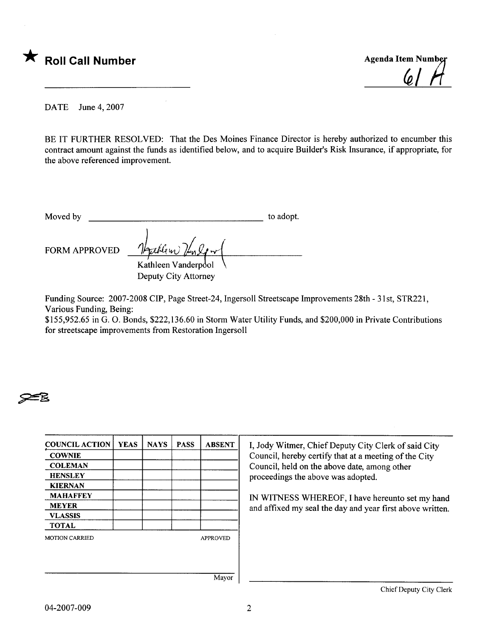

DATE June 4, 2007

BE IT FURTHER RESOLVED: That the Des Moines Finance Director is hereby authorized to encumber this contract amount against the funds as identified below, and to acquire Builder's Risk Insurance, if appropriate, for the above referenced improvement.

| Moved by | to adopt. |
|----------|-----------|
|          |           |

FORM APPROVED

~

Kathleen Vanderpool Deputy City Attorney

Funding Source: 2007-2008 CIP, Page Street-24, Ingersoll Streetscape Improvements 28th - 31st, STR221, Various Funding, Being:

\$155,952.65 in G. O. Bonds, \$222,136.60 in Storm Water Utility Funds, and \$200,000 in Private Contributions for streetscape improvements from Restoration Ingersoll



proceedings the above was adopted.

and affixed my seal the day and year first above written.

Mayor

Chief Deputy City Clerk